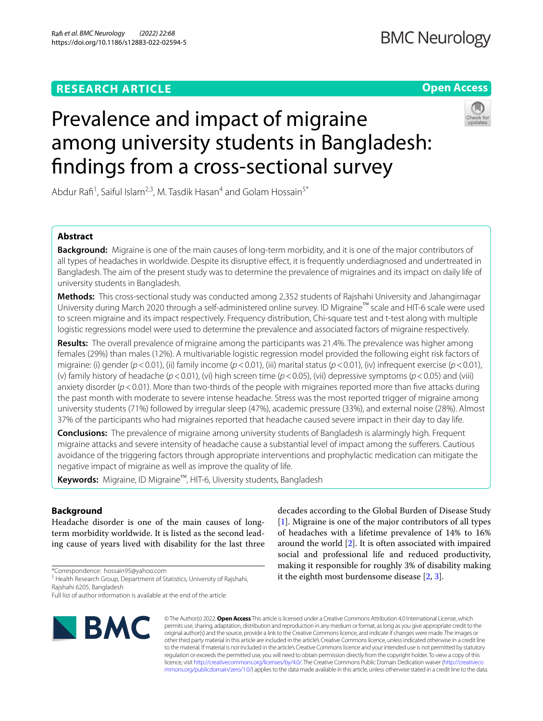### **RESEARCH ARTICLE**

### **Open Access**



# Prevalence and impact of migraine among university students in Bangladesh: fndings from a cross-sectional survey

Abdur Rafi<sup>1</sup>, Saiful Islam<sup>2,3</sup>, M. Tasdik Hasan<sup>4</sup> and Golam Hossain<sup>5\*</sup>

### **Abstract**

**Background:** Migraine is one of the main causes of long-term morbidity, and it is one of the major contributors of all types of headaches in worldwide. Despite its disruptive efect, it is frequently underdiagnosed and undertreated in Bangladesh. The aim of the present study was to determine the prevalence of migraines and its impact on daily life of university students in Bangladesh.

**Methods:** This cross-sectional study was conducted among 2,352 students of Rajshahi University and Jahangirnagar University during March 2020 through a self-administered online survey. ID Migraine™ scale and HIT-6 scale were used to screen migraine and its impact respectively. Frequency distribution, Chi-square test and t-test along with multiple logistic regressions model were used to determine the prevalence and associated factors of migraine respectively.

**Results:** The overall prevalence of migraine among the participants was 21.4%. The prevalence was higher among females (29%) than males (12%). A multivariable logistic regression model provided the following eight risk factors of migraine: (i) gender (*p*<0.01), (ii) family income (*p*<0.01), (iii) marital status (*p*<0.01), (iv) infrequent exercise (*p*<0.01), (v) family history of headache (*p*<0.01), (vi) high screen time (*p*<0.05), (vii) depressive symptoms (*p*<0.05) and (viii) anxiety disorder ( $p$  < 0.01). More than two-thirds of the people with migraines reported more than five attacks during the past month with moderate to severe intense headache. Stress was the most reported trigger of migraine among university students (71%) followed by irregular sleep (47%), academic pressure (33%), and external noise (28%). Almost 37% of the participants who had migraines reported that headache caused severe impact in their day to day life.

**Conclusions:** The prevalence of migraine among university students of Bangladesh is alarmingly high. Frequent migraine attacks and severe intensity of headache cause a substantial level of impact among the suferers. Cautious avoidance of the triggering factors through appropriate interventions and prophylactic medication can mitigate the negative impact of migraine as well as improve the quality of life.

**Keywords:** Migraine, ID Migraine™, HIT-6, Uiversity students, Bangladesh

### **Background**

Headache disorder is one of the main causes of longterm morbidity worldwide. It is listed as the second leading cause of years lived with disability for the last three

\*Correspondence: hossain95@yahoo.com

<sup>5</sup> Health Research Group, Department of Statistics, University of Rajshahi, Rajshahi 6205, Bangladesh

Full list of author information is available at the end of the article



decades according to the Global Burden of Disease Study [[1\]](#page-9-0). Migraine is one of the major contributors of all types of headaches with a lifetime prevalence of 14% to 16% around the world [[2\]](#page-9-1). It is often associated with impaired social and professional life and reduced productivity, making it responsible for roughly 3% of disability making it the eighth most burdensome disease [\[2](#page-9-1), [3\]](#page-9-2).

© The Author(s) 2022. **Open Access** This article is licensed under a Creative Commons Attribution 4.0 International License, which permits use, sharing, adaptation, distribution and reproduction in any medium or format, as long as you give appropriate credit to the original author(s) and the source, provide a link to the Creative Commons licence, and indicate if changes were made. The images or other third party material in this article are included in the article's Creative Commons licence, unless indicated otherwise in a credit line to the material. If material is not included in the article's Creative Commons licence and your intended use is not permitted by statutory regulation or exceeds the permitted use, you will need to obtain permission directly from the copyright holder. To view a copy of this licence, visit [http://creativecommons.org/licenses/by/4.0/.](http://creativecommons.org/licenses/by/4.0/) The Creative Commons Public Domain Dedication waiver ([http://creativeco](http://creativecommons.org/publicdomain/zero/1.0/) [mmons.org/publicdomain/zero/1.0/](http://creativecommons.org/publicdomain/zero/1.0/)) applies to the data made available in this article, unless otherwise stated in a credit line to the data.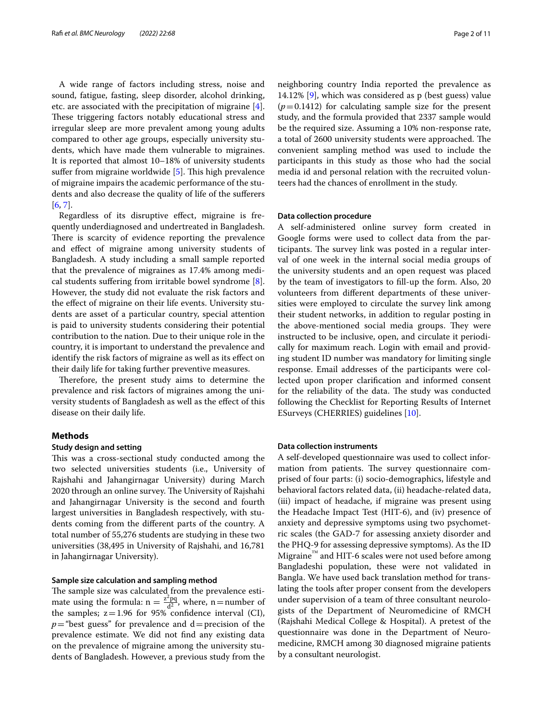A wide range of factors including stress, noise and sound, fatigue, fasting, sleep disorder, alcohol drinking, etc. are associated with the precipitation of migraine [\[4](#page-9-3)]. These triggering factors notably educational stress and irregular sleep are more prevalent among young adults compared to other age groups, especially university students, which have made them vulnerable to migraines. It is reported that almost 10–18% of university students suffer from migraine worldwide  $[5]$  $[5]$ . This high prevalence of migraine impairs the academic performance of the students and also decrease the quality of life of the suferers [[6,](#page-9-5) [7](#page-9-6)].

Regardless of its disruptive efect, migraine is frequently underdiagnosed and undertreated in Bangladesh. There is scarcity of evidence reporting the prevalence and efect of migraine among university students of Bangladesh. A study including a small sample reported that the prevalence of migraines as 17.4% among medical students sufering from irritable bowel syndrome [\[8](#page-9-7)]. However, the study did not evaluate the risk factors and the efect of migraine on their life events. University students are asset of a particular country, special attention is paid to university students considering their potential contribution to the nation. Due to their unique role in the country, it is important to understand the prevalence and identify the risk factors of migraine as well as its effect on their daily life for taking further preventive measures.

Therefore, the present study aims to determine the prevalence and risk factors of migraines among the university students of Bangladesh as well as the efect of this disease on their daily life.

### **Methods**

### **Study design and setting**

This was a cross-sectional study conducted among the two selected universities students (i.e., University of Rajshahi and Jahangirnagar University) during March 2020 through an online survey. The University of Rajshahi and Jahangirnagar University is the second and fourth largest universities in Bangladesh respectively, with students coming from the diferent parts of the country. A total number of 55,276 students are studying in these two universities (38,495 in University of Rajshahi, and 16,781 in Jahangirnagar University).

### **Sample size calculation and sampling method**

The sample size was calculated from the prevalence estimate using the formula:  $n = \frac{z^2 pq}{d^2}$ , where, n=number of the samples;  $z=1.96$  for  $95\%$  confidence interval (CI),  $p$ ="best guess" for prevalence and d=precision of the prevalence estimate. We did not fnd any existing data on the prevalence of migraine among the university students of Bangladesh. However, a previous study from the

neighboring country India reported the prevalence as 14.12% [[9](#page-9-8)], which was considered as p (best guess) value  $(p=0.1412)$  for calculating sample size for the present study, and the formula provided that 2337 sample would be the required size. Assuming a 10% non-response rate, a total of 2600 university students were approached. The convenient sampling method was used to include the participants in this study as those who had the social media id and personal relation with the recruited volunteers had the chances of enrollment in the study.

### **Data collection procedure**

A self-administered online survey form created in Google forms were used to collect data from the participants. The survey link was posted in a regular interval of one week in the internal social media groups of the university students and an open request was placed by the team of investigators to fll-up the form. Also, 20 volunteers from diferent departments of these universities were employed to circulate the survey link among their student networks, in addition to regular posting in the above-mentioned social media groups. They were instructed to be inclusive, open, and circulate it periodically for maximum reach. Login with email and providing student ID number was mandatory for limiting single response. Email addresses of the participants were collected upon proper clarifcation and informed consent for the reliability of the data. The study was conducted following the Checklist for Reporting Results of Internet ESurveys (CHERRIES) guidelines [[10](#page-9-9)].

### **Data collection instruments**

A self-developed questionnaire was used to collect information from patients. The survey questionnaire comprised of four parts: (i) socio-demographics, lifestyle and behavioral factors related data, (ii) headache-related data, (iii) impact of headache, if migraine was present using the Headache Impact Test (HIT-6), and (iv) presence of anxiety and depressive symptoms using two psychometric scales (the GAD-7 for assessing anxiety disorder and the PHQ-9 for assessing depressive symptoms). As the ID Migraine™ and HIT-6 scales were not used before among Bangladeshi population, these were not validated in Bangla. We have used back translation method for translating the tools after proper consent from the developers under supervision of a team of three consultant neurologists of the Department of Neuromedicine of RMCH (Rajshahi Medical College & Hospital). A pretest of the questionnaire was done in the Department of Neuromedicine, RMCH among 30 diagnosed migraine patients by a consultant neurologist.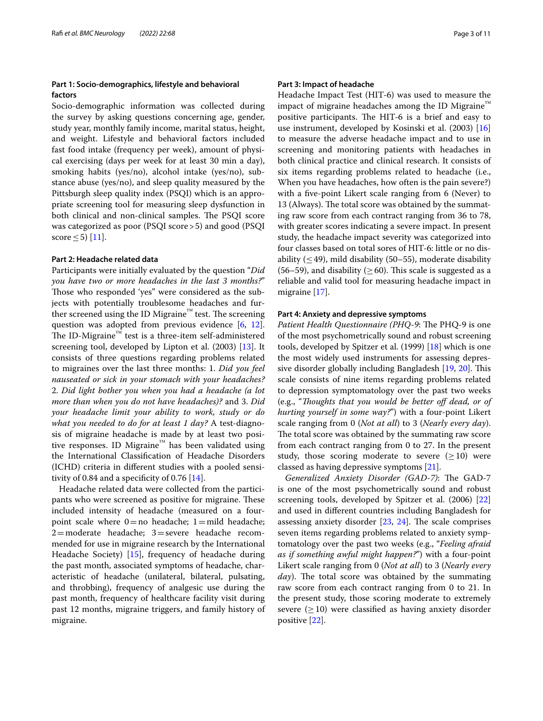### **Part 1: Socio‑demographics, lifestyle and behavioral factors**

Socio-demographic information was collected during the survey by asking questions concerning age, gender, study year, monthly family income, marital status, height, and weight. Lifestyle and behavioral factors included fast food intake (frequency per week), amount of physical exercising (days per week for at least 30 min a day), smoking habits (yes/no), alcohol intake (yes/no), substance abuse (yes/no), and sleep quality measured by the Pittsburgh sleep quality index (PSQI) which is an appropriate screening tool for measuring sleep dysfunction in both clinical and non-clinical samples. The PSOI score was categorized as poor (PSQI score>5) and good (PSQI score  $\leq$  5) [[11](#page-9-10)].

### **Part 2: Headache related data**

Participants were initially evaluated by the question "*Did you have two or more headaches in the last 3 months?*" Those who responded 'yes" were considered as the subjects with potentially troublesome headaches and further screened using the ID Migraine<sup>™</sup> test. The screening question was adopted from previous evidence [\[6](#page-9-5), [12](#page-9-11)]. The ID-Migraine<sup>™</sup> test is a three-item self-administered screening tool, developed by Lipton et al. (2003) [[13\]](#page-9-12). It consists of three questions regarding problems related to migraines over the last three months: 1. *Did you feel nauseated or sick in your stomach with your headaches?* 2. *Did light bother you when you had a headache (a lot more than when you do not have headaches)?* and 3. *Did your headache limit your ability to work, study or do what you needed to do for at least 1 day?* A test-diagnosis of migraine headache is made by at least two positive responses. ID Migraine™ has been validated using the International Classifcation of Headache Disorders (ICHD) criteria in diferent studies with a pooled sensitivity of 0.84 and a specificity of 0.76  $[14]$  $[14]$ .

Headache related data were collected from the participants who were screened as positive for migraine. These included intensity of headache (measured on a fourpoint scale where  $0=$  no headache; 1 = mild headache; 2=moderate headache; 3=severe headache recommended for use in migraine research by the International Headache Society) [\[15](#page-9-14)], frequency of headache during the past month, associated symptoms of headache, characteristic of headache (unilateral, bilateral, pulsating, and throbbing), frequency of analgesic use during the past month, frequency of healthcare facility visit during past 12 months, migraine triggers, and family history of migraine.

### **Part 3: Impact of headache**

Headache Impact Test (HIT-6) was used to measure the impact of migraine headaches among the ID Migraine™ positive participants. The HIT-6 is a brief and easy to use instrument, developed by Kosinski et al. (2003) [[16](#page-9-15)] to measure the adverse headache impact and to use in screening and monitoring patients with headaches in both clinical practice and clinical research. It consists of six items regarding problems related to headache (i.e., When you have headaches, how often is the pain severe?) with a fve-point Likert scale ranging from 6 (Never) to 13 (Always). The total score was obtained by the summating raw score from each contract ranging from 36 to 78, with greater scores indicating a severe impact. In present study, the headache impact severity was categorized into four classes based on total sores of HIT-6: little or no disability  $( $49$ ), mild disability (50–55), moderate disability$ (56–59), and disability ( $>60$ ). This scale is suggested as a reliable and valid tool for measuring headache impact in migraine [[17](#page-9-16)].

### **Part 4: Anxiety and depressive symptoms**

*Patient Health Questionnaire (PHQ-9*: The PHQ-9 is one of the most psychometrically sound and robust screening tools, developed by Spitzer et al. (1999) [[18](#page-9-17)] which is one the most widely used instruments for assessing depres-sive disorder globally including Bangladesh [\[19](#page-9-18), [20\]](#page-9-19). This scale consists of nine items regarding problems related to depression symptomatology over the past two weeks (e.g., "*Toughts that you would be better of dead, or of hurting yourself in some way?*") with a four-point Likert scale ranging from 0 (*Not at all*) to 3 (*Nearly every day*). The total score was obtained by the summating raw score from each contract ranging from 0 to 27. In the present study, those scoring moderate to severe  $(\geq 10)$  were classed as having depressive symptoms [[21\]](#page-9-20).

*Generalized Anxiety Disorder (GAD-7)*: The GAD-7 is one of the most psychometrically sound and robust screening tools, developed by Spitzer et al. (2006) [[22](#page-9-21)] and used in diferent countries including Bangladesh for assessing anxiety disorder  $[23, 24]$  $[23, 24]$  $[23, 24]$  $[23, 24]$  $[23, 24]$ . The scale comprises seven items regarding problems related to anxiety symptomatology over the past two weeks (e.g., "*Feeling afraid as if something awful might happen?*") with a four-point Likert scale ranging from 0 (*Not at all*) to 3 (*Nearly every day*). The total score was obtained by the summating raw score from each contract ranging from 0 to 21. In the present study, those scoring moderate to extremely severe  $(≥10)$  were classified as having anxiety disorder positive [\[22\]](#page-9-21).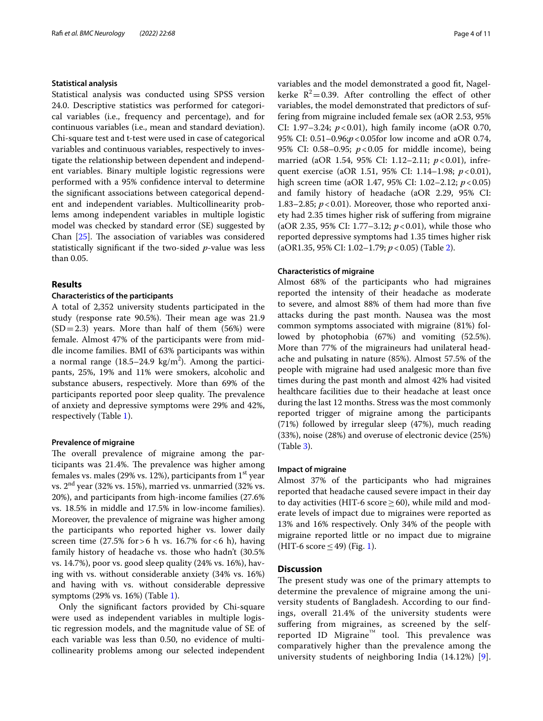### **Statistical analysis**

Statistical analysis was conducted using SPSS version 24.0. Descriptive statistics was performed for categorical variables (i.e., frequency and percentage), and for continuous variables (i.e., mean and standard deviation). Chi-square test and t-test were used in case of categorical variables and continuous variables, respectively to investigate the relationship between dependent and independent variables. Binary multiple logistic regressions were performed with a 95% confdence interval to determine the signifcant associations between categorical dependent and independent variables. Multicollinearity problems among independent variables in multiple logistic model was checked by standard error (SE) suggested by Chan  $[25]$ . The association of variables was considered statistically signifcant if the two-sided *p*-value was less than 0.05.

### **Results**

### **Characteristics of the participants**

A total of 2,352 university students participated in the study (response rate 90.5%). Their mean age was 21.9  $(SD=2.3)$  years. More than half of them (56%) were female. Almost 47% of the participants were from middle income families. BMI of 63% participants was within a normal range (18.5–24.9  $\text{kg/m}^2$ ). Among the participants, 25%, 19% and 11% were smokers, alcoholic and substance abusers, respectively. More than 69% of the participants reported poor sleep quality. The prevalence of anxiety and depressive symptoms were 29% and 42%, respectively (Table [1](#page-4-0)).

### **Prevalence of migraine**

The overall prevalence of migraine among the participants was 21.4%. The prevalence was higher among females vs. males (29% vs. 12%), participants from  $1<sup>st</sup>$  year vs. 2nd year (32% vs. 15%), married vs. unmarried (32% vs. 20%), and participants from high-income families (27.6% vs. 18.5% in middle and 17.5% in low-income families). Moreover, the prevalence of migraine was higher among the participants who reported higher vs. lower daily screen time  $(27.5\% \text{ for} > 6 \text{ h} \text{ vs. } 16.7\% \text{ for} < 6 \text{ h})$ , having family history of headache vs. those who hadn't (30.5% vs. 14.7%), poor vs. good sleep quality (24% vs. 16%), having with vs. without considerable anxiety (34% vs. 16%) and having with vs. without considerable depressive symptoms (29% vs. 16%) (Table [1\)](#page-4-0).

Only the signifcant factors provided by Chi-square were used as independent variables in multiple logistic regression models, and the magnitude value of SE of each variable was less than 0.50, no evidence of multicollinearity problems among our selected independent variables and the model demonstrated a good fit, Nagelkerke  $R^2 = 0.39$ . After controlling the effect of other variables, the model demonstrated that predictors of suffering from migraine included female sex (aOR 2.53, 95% CI: 1.97–3.24; *p*<0.01), high family income (aOR 0.70, 95% CI: 0.51–0.96;*p*<0.05for low income and aOR 0.74, 95% CI: 0.58–0.95; *p*<0.05 for middle income), being married (aOR 1.54, 95% CI: 1.12–2.11; *p*<0.01), infrequent exercise (aOR 1.51, 95% CI: 1.14–1.98; *p*<0.01), high screen time (aOR 1.47, 95% CI: 1.02–2.12; *p*<0.05) and family history of headache (aOR 2.29, 95% CI: 1.83–2.85;  $p < 0.01$ ). Moreover, those who reported anxiety had 2.35 times higher risk of sufering from migraine (aOR 2.35, 95% CI: 1.77–3.12; *p*<0.01), while those who reported depressive symptoms had 1.35 times higher risk (aOR1.35, 95% CI: 1.02–1.79; *p*<0.05) (Table [2](#page-5-0)).

### **Characteristics of migraine**

Almost 68% of the participants who had migraines reported the intensity of their headache as moderate to severe, and almost 88% of them had more than fve attacks during the past month. Nausea was the most common symptoms associated with migraine (81%) followed by photophobia (67%) and vomiting (52.5%). More than 77% of the migraineurs had unilateral headache and pulsating in nature (85%). Almost 57.5% of the people with migraine had used analgesic more than fve times during the past month and almost 42% had visited healthcare facilities due to their headache at least once during the last 12 months. Stress was the most commonly reported trigger of migraine among the participants (71%) followed by irregular sleep (47%), much reading (33%), noise (28%) and overuse of electronic device (25%) (Table [3\)](#page-6-0).

### **Impact of migraine**

Almost 37% of the participants who had migraines reported that headache caused severe impact in their day to day activities (HIT-6 score  $\geq$  60), while mild and moderate levels of impact due to migraines were reported as 13% and 16% respectively. Only 34% of the people with migraine reported little or no impact due to migraine (HIT-6 score  $\leq$  49) (Fig. [1\)](#page-7-0).

### **Discussion**

The present study was one of the primary attempts to determine the prevalence of migraine among the university students of Bangladesh. According to our fndings, overall 21.4% of the university students were suffering from migraines, as screened by the selfreported ID Migraine<sup>™</sup> tool. This prevalence was comparatively higher than the prevalence among the university students of neighboring India (14.12%) [[9](#page-9-8)].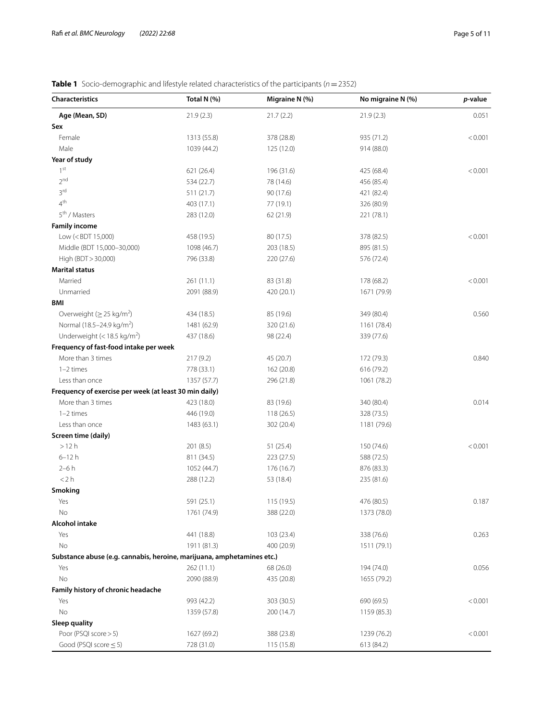### <span id="page-4-0"></span>**Table 1** Socio-demographic and lifestyle related characteristics of the participants (*n*=2352)

| <b>Characteristics</b>                                                                                         | Total N (%) | Migraine N (%)          | No migraine N (%) | p-value |
|----------------------------------------------------------------------------------------------------------------|-------------|-------------------------|-------------------|---------|
| Age (Mean, SD)                                                                                                 | 21.9(2.3)   | 21.7(2.2)               | 21.9(2.3)         | 0.051   |
| Sex                                                                                                            |             |                         |                   |         |
| Female                                                                                                         | 1313 (55.8) | 378 (28.8)              | 935 (71.2)        | < 0.001 |
| Male                                                                                                           | 1039 (44.2) | 125 (12.0)              | 914 (88.0)        |         |
| Year of study                                                                                                  |             |                         |                   |         |
| 1 <sup>st</sup>                                                                                                | 621 (26.4)  | 196 (31.6)              | 425 (68.4)        | < 0.001 |
| 2 <sub>nd</sub>                                                                                                | 534 (22.7)  | 78 (14.6)               | 456 (85.4)        |         |
| 3rd                                                                                                            | 511(21.7)   | 90 (17.6)               | 421 (82.4)        |         |
| 4 <sup>th</sup>                                                                                                | 403 (17.1)  | 77 (19.1)               | 326 (80.9)        |         |
| 5 <sup>th</sup> / Masters                                                                                      | 283 (12.0)  | 62 (21.9)               | 221 (78.1)        |         |
| <b>Family income</b>                                                                                           |             |                         |                   |         |
| Low ( <bdt 15,000)<="" td=""><td>458 (19.5)</td><td>80 (17.5)</td><td>378 (82.5)</td><td>&lt; 0.001</td></bdt> | 458 (19.5)  | 80 (17.5)               | 378 (82.5)        | < 0.001 |
| Middle (BDT 15,000-30,000)                                                                                     | 1098 (46.7) | 203 (18.5)              | 895 (81.5)        |         |
| High (BDT > 30,000)                                                                                            | 796 (33.8)  | 220 (27.6)              | 576 (72.4)        |         |
| <b>Marital status</b>                                                                                          |             |                         |                   |         |
| Married                                                                                                        | 261(11.1)   | 83 (31.8)               | 178 (68.2)        | < 0.001 |
| Unmarried                                                                                                      | 2091 (88.9) | 420 (20.1)              | 1671 (79.9)       |         |
| BMI                                                                                                            |             |                         |                   |         |
| Overweight ( $\geq$ 25 kg/m <sup>2</sup> )                                                                     | 434 (18.5)  | 85 (19.6)               | 349 (80.4)        | 0.560   |
| Normal (18.5-24.9 kg/m <sup>2</sup> )                                                                          | 1481 (62.9) | 320 (21.6)              | 1161 (78.4)       |         |
| Underweight (< $18.5 \text{ kg/m}^2$ )                                                                         | 437 (18.6)  | 98 (22.4)               | 339 (77.6)        |         |
| Frequency of fast-food intake per week                                                                         |             |                         |                   |         |
| More than 3 times                                                                                              | 217 (9.2)   | 45 (20.7)               | 172 (79.3)        | 0.840   |
| $1-2$ times                                                                                                    | 778 (33.1)  | 162 (20.8)              | 616 (79.2)        |         |
| Less than once                                                                                                 | 1357 (57.7) | 296 (21.8)              | 1061 (78.2)       |         |
| Frequency of exercise per week (at least 30 min daily)                                                         |             |                         |                   |         |
| More than 3 times                                                                                              | 423 (18.0)  | 83 (19.6)               | 340 (80.4)        | 0.014   |
| $1-2$ times                                                                                                    | 446 (19.0)  | 118 (26.5)              | 328 (73.5)        |         |
| Less than once                                                                                                 | 1483 (63.1) | 302 (20.4)              | 1181 (79.6)       |         |
| Screen time (daily)                                                                                            |             |                         |                   |         |
| >12 h                                                                                                          | 201 (8.5)   | 51(25.4)                | 150 (74.6)        | < 0.001 |
| $6 - 12h$                                                                                                      | 811 (34.5)  | 223 (27.5)              | 588 (72.5)        |         |
| $2-6h$                                                                                                         | 1052 (44.7) | 176 (16.7)              | 876 (83.3)        |         |
| $<$ 2 h                                                                                                        | 288 (12.2)  | 53 (18.4)               | 235 (81.6)        |         |
| Smoking                                                                                                        |             |                         |                   |         |
| Yes                                                                                                            | 591 (25.1)  | 115 (19.5)              | 476 (80.5)        | 0.187   |
| No                                                                                                             | 1761 (74.9) | 388 (22.0)              | 1373 (78.0)       |         |
| <b>Alcohol intake</b>                                                                                          |             |                         |                   |         |
| Yes                                                                                                            | 441 (18.8)  | 103 (23.4)              | 338 (76.6)        | 0.263   |
| No                                                                                                             | 1911 (81.3) | 400 (20.9)              | 1511 (79.1)       |         |
| Substance abuse (e.g. cannabis, heroine, marijuana, amphetamines etc.)                                         |             |                         |                   |         |
|                                                                                                                | 262 (11.1)  |                         |                   | 0.056   |
| Yes<br>No                                                                                                      |             | 68 (26.0)<br>435 (20.8) | 194 (74.0)        |         |
| Family history of chronic headache                                                                             | 2090 (88.9) |                         | 1655 (79.2)       |         |
|                                                                                                                | 993 (42.2)  |                         |                   |         |
| Yes                                                                                                            |             | 303 (30.5)              | 690 (69.5)        | < 0.001 |
| No                                                                                                             | 1359 (57.8) | 200 (14.7)              | 1159 (85.3)       |         |
| Sleep quality                                                                                                  |             |                         |                   |         |
| Poor (PSQI score > 5)                                                                                          | 1627 (69.2) | 388 (23.8)              | 1239 (76.2)       | < 0.001 |
| Good (PSQI score $\leq$ 5)                                                                                     | 728 (31.0)  | 115 (15.8)              | 613 (84.2)        |         |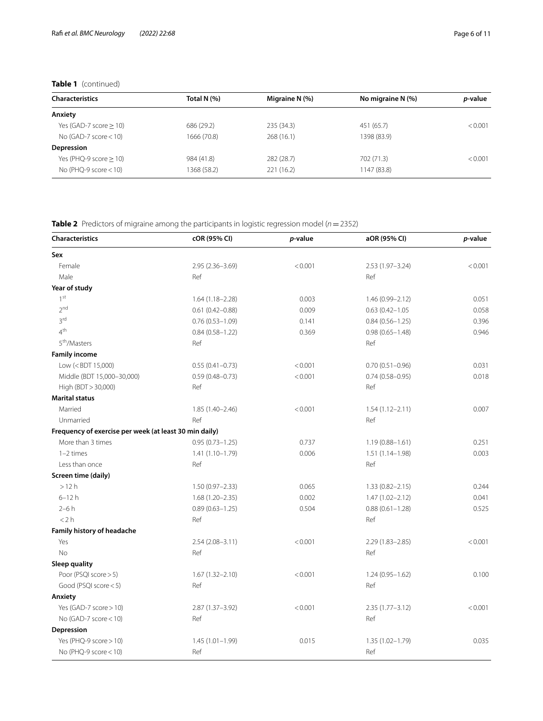### **Table 1** (continued)

|                           | Total N (%) | Migraine N (%) | No migraine N (%) | <i>p</i> -value |
|---------------------------|-------------|----------------|-------------------|-----------------|
| <b>Characteristics</b>    |             |                |                   |                 |
| Anxiety                   |             |                |                   |                 |
| Yes (GAD-7 score $> 10$ ) | 686 (29.2)  | 235 (34.3)     | 451 (65.7)        | < 0.001         |
| No (GAD-7 score $<$ 10)   | 1666 (70.8) | 268(16.1)      | 1398 (83.9)       |                 |
| Depression                |             |                |                   |                 |
| Yes (PHQ-9 score $> 10$ ) | 984 (41.8)  | 282 (28.7)     | 702 (71.3)        | < 0.001         |
| No (PHQ-9 score $<$ 10)   | 1368 (58.2) | 221 (16.2)     | 1147 (83.8)       |                 |

<span id="page-5-0"></span>**Table 2** Predictors of migraine among the participants in logistic regression model (*n*=2352)

| <b>Characteristics</b>                                                                                                                             | cOR (95% CI)        | p-value | aOR (95% CI)        | p-value |
|----------------------------------------------------------------------------------------------------------------------------------------------------|---------------------|---------|---------------------|---------|
| Sex                                                                                                                                                |                     |         |                     |         |
| Female                                                                                                                                             | $2.95(2.36 - 3.69)$ | < 0.001 | $2.53(1.97 - 3.24)$ | < 0.001 |
| Male                                                                                                                                               | Ref                 |         | Ref                 |         |
| Year of study                                                                                                                                      |                     |         |                     |         |
| 1st                                                                                                                                                | $1.64(1.18 - 2.28)$ | 0.003   | $1.46(0.99 - 2.12)$ | 0.051   |
| 2 <sub>nd</sub>                                                                                                                                    | $0.61(0.42 - 0.88)$ | 0.009   | $0.63(0.42 - 1.05)$ | 0.058   |
| 3 <sup>rd</sup>                                                                                                                                    | $0.76(0.53 - 1.09)$ | 0.141   | $0.84(0.56 - 1.25)$ | 0.396   |
| 4 <sup>th</sup>                                                                                                                                    | $0.84(0.58 - 1.22)$ | 0.369   | $0.98(0.65 - 1.48)$ | 0.946   |
| 5 <sup>th</sup> /Masters                                                                                                                           | Ref                 |         | Ref                 |         |
| <b>Family income</b>                                                                                                                               |                     |         |                     |         |
| Low ( <bdt 15,000)<="" td=""><td><math>0.55(0.41 - 0.73)</math></td><td>&lt; 0.001</td><td><math>0.70(0.51 - 0.96)</math></td><td>0.031</td></bdt> | $0.55(0.41 - 0.73)$ | < 0.001 | $0.70(0.51 - 0.96)$ | 0.031   |
| Middle (BDT 15,000-30,000)                                                                                                                         | $0.59(0.48 - 0.73)$ | < 0.001 | $0.74(0.58 - 0.95)$ | 0.018   |
| High (BDT > 30,000)                                                                                                                                | Ref                 |         | Ref                 |         |
| <b>Marital status</b>                                                                                                                              |                     |         |                     |         |
| Married                                                                                                                                            | 1.85 (1.40-2.46)    | < 0.001 | $1.54(1.12 - 2.11)$ | 0.007   |
| Unmarried                                                                                                                                          | Ref                 |         | Ref                 |         |
| Frequency of exercise per week (at least 30 min daily)                                                                                             |                     |         |                     |         |
| More than 3 times                                                                                                                                  | $0.95(0.73 - 1.25)$ | 0.737   | $1.19(0.88 - 1.61)$ | 0.251   |
| $1-2$ times                                                                                                                                        | $1.41(1.10 - 1.79)$ | 0.006   | $1.51(1.14 - 1.98)$ | 0.003   |
| Less than once                                                                                                                                     | Ref                 |         | Ref                 |         |
| Screen time (daily)                                                                                                                                |                     |         |                     |         |
| >12h                                                                                                                                               | $1.50(0.97 - 2.33)$ | 0.065   | $1.33(0.82 - 2.15)$ | 0.244   |
| $6 - 12h$                                                                                                                                          | $1.68(1.20 - 2.35)$ | 0.002   | $1.47(1.02 - 2.12)$ | 0.041   |
| $2-6h$                                                                                                                                             | $0.89(0.63 - 1.25)$ | 0.504   | $0.88(0.61 - 1.28)$ | 0.525   |
| < 2 h                                                                                                                                              | Ref                 |         | Ref                 |         |
| Family history of headache                                                                                                                         |                     |         |                     |         |
| Yes                                                                                                                                                | $2.54(2.08 - 3.11)$ | < 0.001 | $2.29(1.83 - 2.85)$ | < 0.001 |
| <b>No</b>                                                                                                                                          | Ref                 |         | Ref                 |         |
| Sleep quality                                                                                                                                      |                     |         |                     |         |
| Poor (PSQI score > 5)                                                                                                                              | $1.67(1.32 - 2.10)$ | < 0.001 | $1.24(0.95 - 1.62)$ | 0.100   |
| Good (PSQI score < 5)                                                                                                                              | Ref                 |         | Ref                 |         |
| Anxiety                                                                                                                                            |                     |         |                     |         |
| Yes (GAD-7 score > 10)                                                                                                                             | 2.87 (1.37-3.92)    | < 0.001 | $2.35(1.77 - 3.12)$ | < 0.001 |
| No (GAD-7 score $<$ 10)                                                                                                                            | Ref                 |         | Ref                 |         |
| Depression                                                                                                                                         |                     |         |                     |         |
| Yes (PHQ-9 score > 10)                                                                                                                             | $1.45(1.01 - 1.99)$ | 0.015   | 1.35 (1.02-1.79)    | 0.035   |
| No (PHQ-9 score $<$ 10)                                                                                                                            | Ref                 |         | Ref                 |         |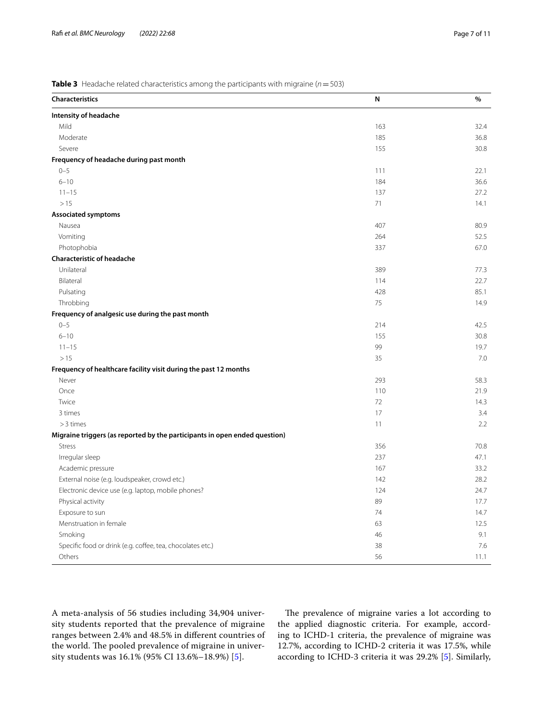### <span id="page-6-0"></span>**Table 3** Headache related characteristics among the participants with migraine (*n*=503)

| <b>Characteristics</b>                                                     | N   | %    |
|----------------------------------------------------------------------------|-----|------|
| Intensity of headache                                                      |     |      |
| Mild                                                                       | 163 | 32.4 |
| Moderate                                                                   | 185 | 36.8 |
| Severe                                                                     | 155 | 30.8 |
| Frequency of headache during past month                                    |     |      |
| $0 - 5$                                                                    | 111 | 22.1 |
| $6 - 10$                                                                   | 184 | 36.6 |
| $11 - 15$                                                                  | 137 | 27.2 |
| >15                                                                        | 71  | 14.1 |
| <b>Associated symptoms</b>                                                 |     |      |
| Nausea                                                                     | 407 | 80.9 |
| Vomiting                                                                   | 264 | 52.5 |
| Photophobia                                                                | 337 | 67.0 |
| <b>Characteristic of headache</b>                                          |     |      |
| Unilateral                                                                 | 389 | 77.3 |
| Bilateral                                                                  | 114 | 22.7 |
| Pulsating                                                                  | 428 | 85.1 |
| Throbbing                                                                  | 75  | 14.9 |
| Frequency of analgesic use during the past month                           |     |      |
| $0 - 5$                                                                    | 214 | 42.5 |
| $6 - 10$                                                                   | 155 | 30.8 |
| $11 - 15$                                                                  | 99  | 19.7 |
| >15                                                                        | 35  | 7.0  |
| Frequency of healthcare facility visit during the past 12 months           |     |      |
| Never                                                                      | 293 | 58.3 |
| Once                                                                       | 110 | 21.9 |
| Twice                                                                      | 72  | 14.3 |
| 3 times                                                                    | 17  | 3.4  |
| $>3$ times                                                                 | 11  | 2.2  |
| Migraine triggers (as reported by the participants in open ended question) |     |      |
| <b>Stress</b>                                                              | 356 | 70.8 |
| Irregular sleep                                                            | 237 | 47.1 |
| Academic pressure                                                          | 167 | 33.2 |
| External noise (e.g. loudspeaker, crowd etc.)                              | 142 | 28.2 |
| Electronic device use (e.g. laptop, mobile phones?                         | 124 | 24.7 |
| Physical activity                                                          | 89  | 17.7 |
| Exposure to sun                                                            | 74  | 14.7 |
| Menstruation in female                                                     | 63  | 12.5 |
| Smoking                                                                    | 46  | 9.1  |
| Specific food or drink (e.g. coffee, tea, chocolates etc.)                 | 38  | 7.6  |
| Others                                                                     | 56  | 11.1 |

A meta-analysis of 56 studies including 34,904 university students reported that the prevalence of migraine ranges between 2.4% and 48.5% in diferent countries of the world. The pooled prevalence of migraine in university students was 16.1% (95% CI 13.6%–18.9%) [\[5](#page-9-4)].

The prevalence of migraine varies a lot according to the applied diagnostic criteria. For example, according to ICHD-1 criteria, the prevalence of migraine was 12.7%, according to ICHD-2 criteria it was 17.5%, while according to ICHD-3 criteria it was 29.2% [[5\]](#page-9-4). Similarly,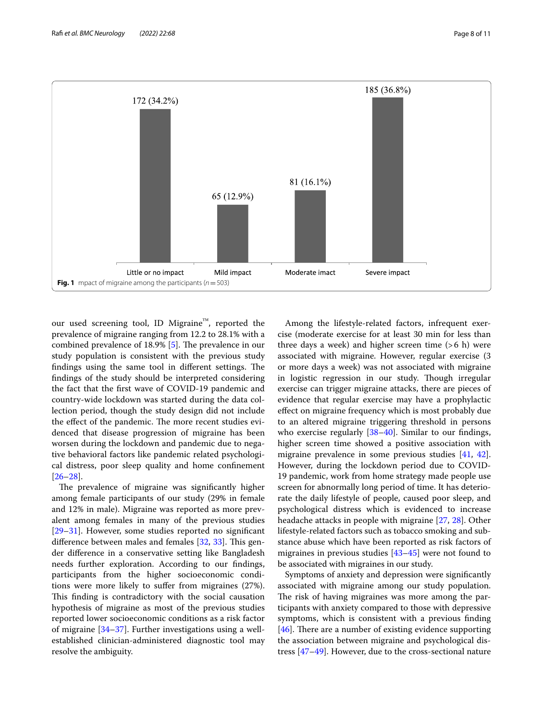

<span id="page-7-0"></span>our used screening tool, ID Migraine<sup>™</sup>, reported the prevalence of migraine ranging from 12.2 to 28.1% with a combined prevalence of  $18.9\%$  [[5](#page-9-4)]. The prevalence in our study population is consistent with the previous study findings using the same tool in different settings. The fndings of the study should be interpreted considering the fact that the frst wave of COVID-19 pandemic and country-wide lockdown was started during the data collection period, though the study design did not include the effect of the pandemic. The more recent studies evidenced that disease progression of migraine has been worsen during the lockdown and pandemic due to negative behavioral factors like pandemic related psychological distress, poor sleep quality and home confnement [[26–](#page-9-25)[28](#page-9-26)].

The prevalence of migraine was significantly higher among female participants of our study (29% in female and 12% in male). Migraine was reported as more prevalent among females in many of the previous studies [[29–](#page-9-27)[31](#page-9-28)]. However, some studies reported no signifcant difference between males and females  $[32, 33]$  $[32, 33]$  $[32, 33]$  $[32, 33]$ . This gender diference in a conservative setting like Bangladesh needs further exploration. According to our fndings, participants from the higher socioeconomic conditions were more likely to sufer from migraines (27%). This finding is contradictory with the social causation hypothesis of migraine as most of the previous studies reported lower socioeconomic conditions as a risk factor of migraine [[34](#page-10-1)[–37](#page-10-2)]. Further investigations using a wellestablished clinician-administered diagnostic tool may resolve the ambiguity.

Among the lifestyle-related factors, infrequent exercise (moderate exercise for at least 30 min for less than three days a week) and higher screen time  $(>6 h)$  were associated with migraine. However, regular exercise (3 or more days a week) was not associated with migraine in logistic regression in our study. Though irregular exercise can trigger migraine attacks, there are pieces of evidence that regular exercise may have a prophylactic efect on migraine frequency which is most probably due to an altered migraine triggering threshold in persons who exercise regularly [\[38](#page-10-3)[–40](#page-10-4)]. Similar to our fndings, higher screen time showed a positive association with migraine prevalence in some previous studies [\[41,](#page-10-5) [42](#page-10-6)]. However, during the lockdown period due to COVID-19 pandemic, work from home strategy made people use screen for abnormally long period of time. It has deteriorate the daily lifestyle of people, caused poor sleep, and psychological distress which is evidenced to increase headache attacks in people with migraine [\[27](#page-9-30), [28\]](#page-9-26). Other lifestyle-related factors such as tobacco smoking and substance abuse which have been reported as risk factors of migraines in previous studies [[43–](#page-10-7)[45\]](#page-10-8) were not found to be associated with migraines in our study.

Symptoms of anxiety and depression were signifcantly associated with migraine among our study population. The risk of having migraines was more among the participants with anxiety compared to those with depressive symptoms, which is consistent with a previous fnding [[46\]](#page-10-9). There are a number of existing evidence supporting the association between migraine and psychological distress [[47](#page-10-10)[–49](#page-10-11)]. However, due to the cross-sectional nature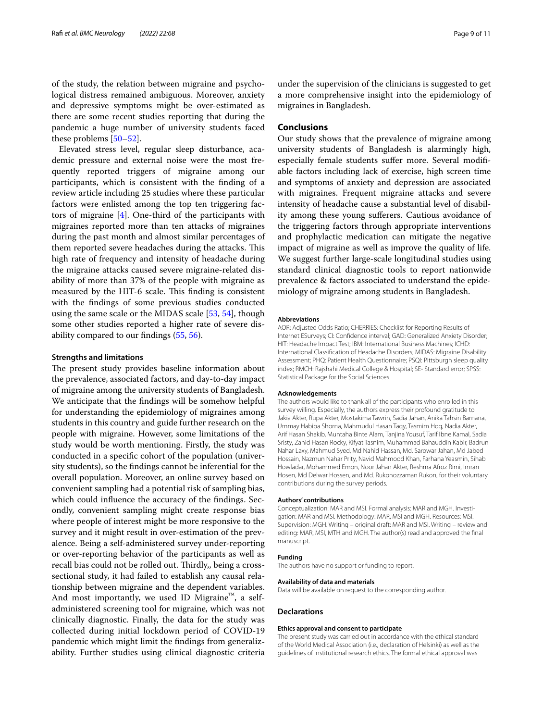of the study, the relation between migraine and psychological distress remained ambiguous. Moreover, anxiety and depressive symptoms might be over-estimated as there are some recent studies reporting that during the pandemic a huge number of university students faced these problems [\[50](#page-10-12)–[52\]](#page-10-13).

Elevated stress level, regular sleep disturbance, academic pressure and external noise were the most frequently reported triggers of migraine among our participants, which is consistent with the fnding of a review article including 25 studies where these particular factors were enlisted among the top ten triggering factors of migraine [[4](#page-9-3)]. One-third of the participants with migraines reported more than ten attacks of migraines during the past month and almost similar percentages of them reported severe headaches during the attacks. This high rate of frequency and intensity of headache during the migraine attacks caused severe migraine-related disability of more than 37% of the people with migraine as measured by the HIT-6 scale. This finding is consistent with the fndings of some previous studies conducted using the same scale or the MIDAS scale [\[53,](#page-10-14) [54](#page-10-15)], though some other studies reported a higher rate of severe disability compared to our fndings ([55,](#page-10-16) [56](#page-10-17)).

### **Strengths and limitations**

The present study provides baseline information about the prevalence, associated factors, and day-to-day impact of migraine among the university students of Bangladesh. We anticipate that the fndings will be somehow helpful for understanding the epidemiology of migraines among students in this country and guide further research on the people with migraine. However, some limitations of the study would be worth mentioning. Firstly, the study was conducted in a specifc cohort of the population (university students), so the fndings cannot be inferential for the overall population. Moreover, an online survey based on convenient sampling had a potential risk of sampling bias, which could infuence the accuracy of the fndings. Secondly, convenient sampling might create response bias where people of interest might be more responsive to the survey and it might result in over-estimation of the prevalence. Being a self-administered survey under-reporting or over-reporting behavior of the participants as well as recall bias could not be rolled out. Thirdly,, being a crosssectional study, it had failed to establish any causal relationship between migraine and the dependent variables. And most importantly, we used ID Migraine $^{\prime\prime\prime}$ , a selfadministered screening tool for migraine, which was not clinically diagnostic. Finally, the data for the study was collected during initial lockdown period of COVID-19 pandemic which might limit the fndings from generalizability. Further studies using clinical diagnostic criteria

under the supervision of the clinicians is suggested to get a more comprehensive insight into the epidemiology of migraines in Bangladesh.

### **Conclusions**

Our study shows that the prevalence of migraine among university students of Bangladesh is alarmingly high, especially female students sufer more. Several modifable factors including lack of exercise, high screen time and symptoms of anxiety and depression are associated with migraines. Frequent migraine attacks and severe intensity of headache cause a substantial level of disability among these young suferers. Cautious avoidance of the triggering factors through appropriate interventions and prophylactic medication can mitigate the negative impact of migraine as well as improve the quality of life. We suggest further large-scale longitudinal studies using standard clinical diagnostic tools to report nationwide prevalence & factors associated to understand the epidemiology of migraine among students in Bangladesh.

#### **Abbreviations**

AOR: Adjusted Odds Ratio; CHERRIES: Checklist for Reporting Results of Internet ESurveys; CI: Confdence interval; GAD: Generalized Anxiety Disorder; HIT: Headache Impact Test; IBM: International Business Machines; ICHD: International Classifcation of Headache Disorders; MIDAS: Migraine Disability Assessment; PHQ: Patient Health Questionnaire; PSQI: Pittsburgh sleep quality index; RMCH: Rajshahi Medical College & Hospital; SE- Standard error; SPSS: Statistical Package for the Social Sciences.

#### **Acknowledgements**

The authors would like to thank all of the participants who enrolled in this survey willing. Especially, the authors express their profound gratitude to Jakia Akter, Rupa Akter, Mostakima Tawrin, Sadia Jahan, Anika Tahsin Barnana, Ummay Habiba Shorna, Mahmudul Hasan Taqy, Tasmim Hoq, Nadia Akter, Arif Hasan Shakib, Muntaha Binte Alam, Tanjina Yousuf, Tarif Ibne Kamal, Sadia Sristy, Zahid Hasan Rocky, Kifyat Tasnim, Muhammad Bahauddin Kabir, Badrun Nahar Laxy, Mahmud Syed, Md Nahid Hassan, Md. Sarowar Jahan, Md Jabed Hossain, Nazmun Nahar Prity, Navid Mahmood Khan, Farhana Yeasmin, Sihab Howladar, Mohammed Emon, Noor Jahan Akter, Reshma Afroz Rimi, Imran Hosen, Md Delwar Hossen, and Md. Rukonozzaman Rukon, for their voluntary contributions during the survey periods.

#### **Authors' contributions**

Conceptualization: MAR and MSI. Formal analysis: MAR and MGH. Investigation: MAR and MSI. Methodology: MAR, MSI and MGH. Resources: MSI. Supervision: MGH. Writing – original draft: MAR and MSI. Writing – review and editing: MAR, MSI, MTH and MGH. The author(s) read and approved the fnal manuscript.

### **Funding**

The authors have no support or funding to report.

#### **Availability of data and materials**

Data will be available on request to the corresponding author.

#### **Declarations**

#### **Ethics approval and consent to participate**

The present study was carried out in accordance with the ethical standard of the World Medical Association (i.e., declaration of Helsinki) as well as the guidelines of Institutional research ethics. The formal ethical approval was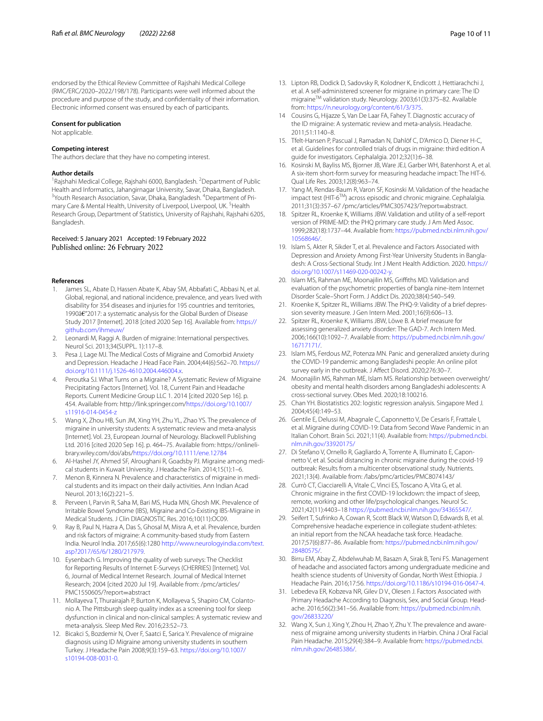endorsed by the Ethical Review Committee of Rajshahi Medical College (RMC/ERC/2020–2022/198/178). Participants were well informed about the procedure and purpose of the study, and confdentiality of their information. Electronic informed consent was ensured by each of participants.

#### **Consent for publication**

Not applicable.

### **Competing interest**

The authors declare that they have no competing interest.

#### **Author details**

<sup>1</sup> Rajshahi Medical College, Rajshahi 6000, Bangladesh. <sup>2</sup> Department of Public Health and Informatics, Jahangirnagar University, Savar, Dhaka, Bangladesh. 3 Youth Research Association, Savar, Dhaka, Bangladesh. <sup>4</sup> Department of Primary Care & Mental Health, University of Liverpool, Liverpool, UK.<sup>5</sup> Health Research Group, Department of Statistics, University of Rajshahi, Rajshahi 6205, Bangladesh.

## Received: 5 January 2021 Accepted: 19 February 2022

#### **References**

- <span id="page-9-0"></span>1. James SL, Abate D, Hassen Abate K, Abay SM, Abbafati C, Abbasi N, et al. Global, regional, and national incidence, prevalence, and years lived with disability for 354 diseases and injuries for 195 countries and territories, 1990â€"2017: a systematic analysis for the Global Burden of Disease Study 2017 [Internet]. 2018 [cited 2020 Sep 16]. Available from: [https://](https://github.com/ihmeuw/) [github.com/ihmeuw/](https://github.com/ihmeuw/)
- <span id="page-9-1"></span>2. Leonardi M, Raggi A. Burden of migraine: International perspectives. Neurol Sci. 2013;34(SUPPL. 1):117–8.
- <span id="page-9-2"></span>3. Pesa J, Lage MJ. The Medical Costs of Migraine and Comorbid Anxiety and Depression. Headache J Head Face Pain. 2004;44(6):562–70. [https://](https://doi.org/10.1111/j.1526-4610.2004.446004.x) [doi.org/10.1111/j.1526-4610.2004.446004.x](https://doi.org/10.1111/j.1526-4610.2004.446004.x).
- <span id="page-9-3"></span>4. Peroutka SJ. What Turns on a Migraine? A Systematic Review of Migraine Precipitating Factors [Internet]. Vol. 18, Current Pain and Headache Reports. Current Medicine Group LLC 1. 2014 [cited 2020 Sep 16]. p. 454. Available from: http://link.springer.com[/https://doi.org/10.1007/](https://doi.org/10.1007/s11916-014-0454-z) [s11916-014-0454-z](https://doi.org/10.1007/s11916-014-0454-z)
- <span id="page-9-4"></span>5. Wang X, Zhou HB, Sun JM, Xing YH, Zhu YL, Zhao YS. The prevalence of migraine in university students: A systematic review and meta-analysis [Internet]. Vol. 23, European Journal of Neurology. Blackwell Publishing Ltd. 2016 [cited 2020 Sep 16]. p. 464–75. Available from: https://onlinelibrary.wiley.com/doi/abs[/https://doi.org/10.1111/ene.12784](https://doi.org/10.1111/ene.12784)
- <span id="page-9-5"></span>6. Al-Hashel JY, Ahmed SF, Alroughani R, Goadsby PJ. Migraine among medical students in Kuwait University. J Headache Pain. 2014;15(1):1–6.
- <span id="page-9-6"></span>7. Menon B, Kinnera N. Prevalence and characteristics of migraine in medical students and its impact on their daily activities. Ann Indian Acad Neurol. 2013;16(2):221–5.
- <span id="page-9-7"></span>8. Perveen I, Parvin R, Saha M, Bari MS, Huda MN, Ghosh MK. Prevalence of Irritable Bowel Syndrome (IBS), Migraine and Co-Existing IBS-Migraine in Medical Students. J Clin DIAGNOSTIC Res. 2016;10(11):OC09.
- <span id="page-9-8"></span>9. Ray B, Paul N, Hazra A, Das S, Ghosal M, Misra A, et al. Prevalence, burden and risk factors of migraine: A community-based study from Eastern India. Neurol India. 2017;65(6):1280 [http://www.neurologyindia.com/text.](http://www.neurologyindia.com/text.asp?2017/65/6/1280/217979) [asp?2017/65/6/1280/217979.](http://www.neurologyindia.com/text.asp?2017/65/6/1280/217979)
- <span id="page-9-9"></span>10. Eysenbach G. Improving the quality of web surveys: The Checklist for Reporting Results of Internet E-Surveys (CHERRIES) [Internet]. Vol. 6, Journal of Medical Internet Research. Journal of Medical Internet Research; 2004 [cited 2020 Jul 19]. Available from: /pmc/articles/ PMC1550605/?report=abstract
- <span id="page-9-10"></span>11. Mollayeva T, Thurairajah P, Burton K, Mollayeva S, Shapiro CM, Colantonio A. The Pittsburgh sleep quality index as a screening tool for sleep dysfunction in clinical and non-clinical samples: A systematic review and meta-analysis. Sleep Med Rev. 2016;23:52–73.
- <span id="page-9-11"></span>12. Bicakci S, Bozdemir N, Over F, Saatci E, Sarica Y. Prevalence of migraine diagnosis using ID Migraine among university students in southern Turkey. J Headache Pain 2008;9(3):159–63. [https://doi.org/10.1007/](https://doi.org/10.1007/s10194-008-0031-0) [s10194-008-0031-0.](https://doi.org/10.1007/s10194-008-0031-0)
- <span id="page-9-12"></span>13. Lipton RB, Dodick D, Sadovsky R, Kolodner K, Endicott J, Hettiarachchi J, et al. A self-administered screener for migraine in primary care: The ID migraineTM validation study. Neurology. 2003;61(3):375–82. Available from: <https://n.neurology.org/content/61/3/375>.
- <span id="page-9-13"></span>14 Cousins G, Hijazze S, Van De Laar FA, Fahey T. Diagnostic accuracy of the ID migraine: A systematic review and meta-analysis. Headache. 2011;51:1140–8.
- <span id="page-9-14"></span>15. Tfelt-Hansen P, Pascual J, Ramadan N, Dahlöf C, D'Amico D, Diener H-C, et al. Guidelines for controlled trials of drugs in migraine: third edition A guide for investigators. Cephalalgia. 2012;32(1):6–38.
- <span id="page-9-15"></span>16. Kosinski M, Bayliss MS, Bjorner JB, Ware JEJ, Garber WH, Batenhorst A, et al. A six-item short-form survey for measuring headache impact: The HIT-6. Qual Life Res. 2003;12(8):963–74.
- <span id="page-9-16"></span>17. Yang M, Rendas-Baum R, Varon SF, Kosinski M. Validation of the headache impact test (HIT-6TM) across episodic and chronic migraine. Cephalalgia. 2011;31(3):357–67 /pmc/articles/PMC3057423/?report=abstract.
- <span id="page-9-17"></span>18. Spitzer RL, Kroenke K, Williams JBW. Validation and utility of a self-report version of PRIME-MD: the PHQ primary care study. J Am Med Assoc. 1999;282(18):1737–44. Available from: [https://pubmed.ncbi.nlm.nih.gov/](https://pubmed.ncbi.nlm.nih.gov/10568646/) [10568646/.](https://pubmed.ncbi.nlm.nih.gov/10568646/)
- <span id="page-9-18"></span>19. Islam S, Akter R, Sikder T, et al. Prevalence and Factors Associated with Depression and Anxiety Among First-Year University Students in Bangladesh: A Cross-Sectional Study. Int J Ment Health Addiction. 2020. [https://](https://doi.org/10.1007/s11469-020-00242-y) [doi.org/10.1007/s11469-020-00242-y](https://doi.org/10.1007/s11469-020-00242-y).
- <span id="page-9-19"></span>20. Islam MS, Rahman ME, Moonajilin MS, Griffiths MD. Validation and evaluation of the psychometric properties of bangla nine-item Internet Disorder Scale–Short Form. J Addict Dis. 2020;38(4):540–549.
- <span id="page-9-20"></span>21. Kroenke K, Spitzer RL, Williams JBW. The PHQ-9: Validity of a brief depression severity measure. J Gen Intern Med. 2001;16(9):606–13.
- <span id="page-9-21"></span>22. Spitzer RL, Kroenke K, Williams JBW, Löwe B. A brief measure for assessing generalized anxiety disorder: The GAD-7. Arch Intern Med. 2006;166(10):1092–7. Available from: [https://pubmed.ncbi.nlm.nih.gov/](https://pubmed.ncbi.nlm.nih.gov/16717171/) [16717171/.](https://pubmed.ncbi.nlm.nih.gov/16717171/)
- <span id="page-9-22"></span>23. Islam MS, Ferdous MZ, Potenza MN. Panic and generalized anxiety during the COVID-19 pandemic among Bangladeshi people: An online pilot survey early in the outbreak. J Afect Disord. 2020;276:30–7.
- <span id="page-9-23"></span>24. Moonajilin MS, Rahman ME, Islam MS. Relationship between overweight/ obesity and mental health disorders among Bangladeshi adolescents: A cross-sectional survey. Obes Med. 2020;18:100216.
- <span id="page-9-24"></span>25. Chan YH. Biostatistics 202: logistic regression analysis. Singapore Med J. 2004;45(4):149–53.
- <span id="page-9-25"></span>26. Gentile E, Delussi M, Abagnale C, Caponnetto V, De Cesaris F, Frattale I, et al. Migraine during COVID-19: Data from Second Wave Pandemic in an Italian Cohort. Brain Sci. 2021;11(4). Available from: [https://pubmed.ncbi.](https://pubmed.ncbi.nlm.nih.gov/33920175/) [nlm.nih.gov/33920175/](https://pubmed.ncbi.nlm.nih.gov/33920175/)
- <span id="page-9-30"></span>27. Di Stefano V, Ornello R, Gagliardo A, Torrente A, Illuminato E, Caponnetto V, et al. Social distancing in chronic migraine during the covid-19 outbreak: Results from a multicenter observational study. Nutrients. 2021;13(4). Available from: /labs/pmc/articles/PMC8074143/
- <span id="page-9-26"></span>28. Currò CT, Ciacciarelli A, Vitale C, Vinci ES, Toscano A, Vita G, et al. Chronic migraine in the frst COVID-19 lockdown: the impact of sleep, remote, working and other life/psychological changes. Neurol Sc. 2021;42(11):4403–18 [https://pubmed.ncbi.nlm.nih.gov/34365547/.](https://pubmed.ncbi.nlm.nih.gov/34365547/)
- <span id="page-9-27"></span>29. Seifert T, Sufrinko A, Cowan R, Scott Black W, Watson D, Edwards B, et al. Comprehensive headache experience in collegiate student-athletes: an initial report from the NCAA headache task force. Headache. 2017;57(6):877–86. Available from: [https://pubmed.ncbi.nlm.nih.gov/](https://pubmed.ncbi.nlm.nih.gov/28480575/) [28480575/.](https://pubmed.ncbi.nlm.nih.gov/28480575/)
- 30. Birru EM, Abay Z, Abdelwuhab M, Basazn A, Sirak B, Teni FS. Management of headache and associated factors among undergraduate medicine and health science students of University of Gondar, North West Ethiopia. J Headache Pain. 2016;17:56. [https://doi.org/10.1186/s10194-016-0647-4.](https://doi.org/10.1186/s10194-016-0647-4)
- <span id="page-9-28"></span>31. Lebedeva ER, Kobzeva NR, Gilev D V., Olesen J. Factors Associated with Primary Headache According to Diagnosis, Sex, and Social Group. Headache. 2016;56(2):341–56. Available from: [https://pubmed.ncbi.nlm.nih.](https://pubmed.ncbi.nlm.nih.gov/26833220/) [gov/26833220/](https://pubmed.ncbi.nlm.nih.gov/26833220/)
- <span id="page-9-29"></span>32. Wang X, Sun J, Xing Y, Zhou H, Zhao Y, Zhu Y. The prevalence and awareness of migraine among university students in Harbin. China J Oral Facial Pain Headache. 2015;29(4):384–9. Available from: [https://pubmed.ncbi.](https://pubmed.ncbi.nlm.nih.gov/26485386/) [nlm.nih.gov/26485386/.](https://pubmed.ncbi.nlm.nih.gov/26485386/)